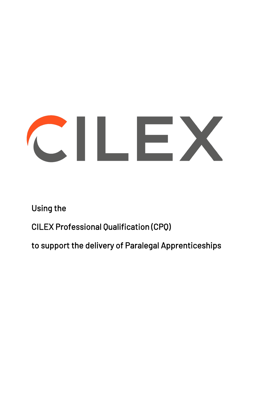# CILEX

Using the

CILEX Professional Qualification (CPQ)

to support the delivery of Paralegal Apprenticeships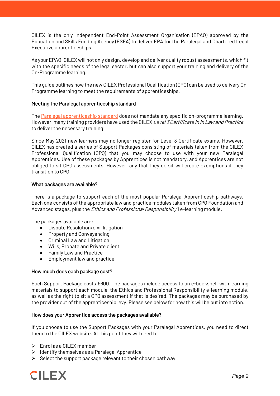CILEX is the only Independent End-Point Assessment Organisation (EPAO) approved by the Education and Skills Funding Agency (ESFA) to deliver EPA for the Paralegal and Chartered Legal Executive apprenticeships.

As your EPAO, CILEX will not only design, develop and deliver quality robust assessments, which fit with the specific needs of the legal sector, but can also support your training and delivery of the On-Programme learning.

This guide outlines how the new CILEX Professional Qualification (CPQ) can be used to delivery On-Programme learning to meet the requirements of apprenticeships.

# Meeting the Paralegal apprenticeship standard

The Paralegal apprenticeship standard does not mandate any specific on-programme learning. However, many training providers have used the CILEX Level 3 Certificate in in Law and Practice to deliver the necessary training.

Since May 2021 new learners may no longer register for Level 3 Certificate exams. However, CILEX has created a series of Support Packages consisting of materials taken from the CILEX Professional Qualification (CPQ) that you may choose to use with your new Paralegal Apprentices. Use of these packages by Apprentices is not mandatory, and Apprentices are not obliged to sit CPQ assessments. However, any that they do sit will create exemptions if they transition to CPQ.

### What packages are available?

There is a package to support each of the most popular Paralegal Apprenticeship pathways. Each one consists of the appropriate law and practice modules taken from CPQ Foundation and Advanced stages, plus the *Ethics and Professional Responsibility* 1 e-learning module.

The packages available are:

- Dispute Resolution/civil litigation
- Property and Conveyancing
- Criminal Law and Litigation
- Wills, Probate and Private client
- Family Law and Practice
- Employment law and practice

# How much does each package cost?

Each Support Package costs £600. The packages include access to an e-bookshelf with learning materials to support each module, the Ethics and Professional Responsibility e-learning module, as well as the right to sit a CPQ assessment if that is desired. The packages may be purchased by the provider out of the apprenticeship levy. Please see below for how this will be put into action.

# How does your Apprentice access the packages available?

If you choose to use the Support Packages with your Paralegal Apprentices, you need to direct them to the CILEX website. At this point they will need to

- $\triangleright$  Enrol as a CILEX member
- $\triangleright$  Identify themselves as a Paralegal Apprentice
- $\triangleright$  Select the support package relevant to their chosen pathway

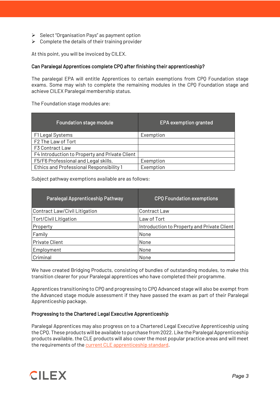- $\triangleright$  Select "Organisation Pays" as payment option
- $\triangleright$  Complete the details of their training provider

At this point, you will be invoiced by CILEX.

### Can Paralegal Apprentices complete CPQ after finishing their apprenticeship?

The paralegal EPA will entitle Apprentices to certain exemptions from CPQ Foundation stage exams. Some may wish to complete the remaining modules in the CPQ Foundation stage and achieve CILEX Paralegal membership status.

The Foundation stage modules are:

| <b>Foundation stage module</b>                 | EPA exemption granted |
|------------------------------------------------|-----------------------|
| F1 Legal Systems                               | Exemption             |
| F2 The Law of Tort                             |                       |
| F3 Contract Law                                |                       |
| F4 Introduction to Property and Private Client |                       |
| F5/F6 Professional and Legal skills.           | Exemption             |
| Ethics and Professional Responsibility 1       | Exemption             |

Subject pathway exemptions available are as follows:

| Paralegal Apprenticeship Pathway | <b>CPO Foundation exemptions</b>            |
|----------------------------------|---------------------------------------------|
| Contract Law/Civil Litigation    | Contract Law                                |
| Tort/Civil Litigation            | Law of Tort                                 |
| Property                         | Introduction to Property and Private Client |
| Family                           | None                                        |
| <b>Private Client</b>            | None                                        |
| Employment                       | None                                        |
| Criminal                         | None                                        |

We have created Bridging Products, consisting of bundles of outstanding modules, to make this transition clearer for your Paralegal apprentices who have completed their programme.

Apprentices transitioning to CPQ and progressing to CPQ Advanced stage will also be exempt from the Advanced stage module assessment if they have passed the exam as part of their Paralegal Apprenticeship package.

# Progressing to the Chartered Legal Executive Apprenticeship

Paralegal Apprentices may also progress on to a Chartered Legal Executive Apprenticeship using the CPQ. These products will be available to purchase from 2022. Like the Paralegal Apprenticeship products available, the CLE products will also cover the most popular practice areas and will meet the requirements of the current CLE apprenticeship standard.